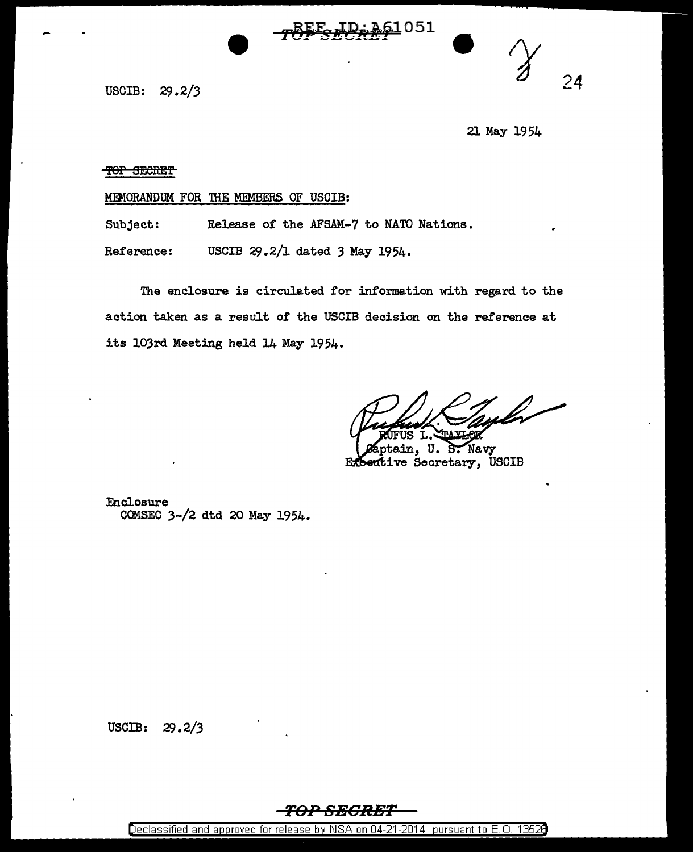<u>61</u>051

USCIB:  $29.2/3$  24

21 May 1954

TOP SECRET

MEMORANDUM FOR THE MEMBERS OF USCIB:

Subject: Release of the AFSAM-7 to NATO Nations.

Reference: USCIB 29.2/1 dated *3* May 1954.

The enclosure is circulated for information with regard to the action taken as a result of the USCIB decision on the reference at its 103rd Meeting held 14 May 1954.

ain, U. Navy Exective Secretary, USCIB

Enclosure COMSEC 3-/2 dtd 20 May 1954.

USCIB:  $29.2/3$